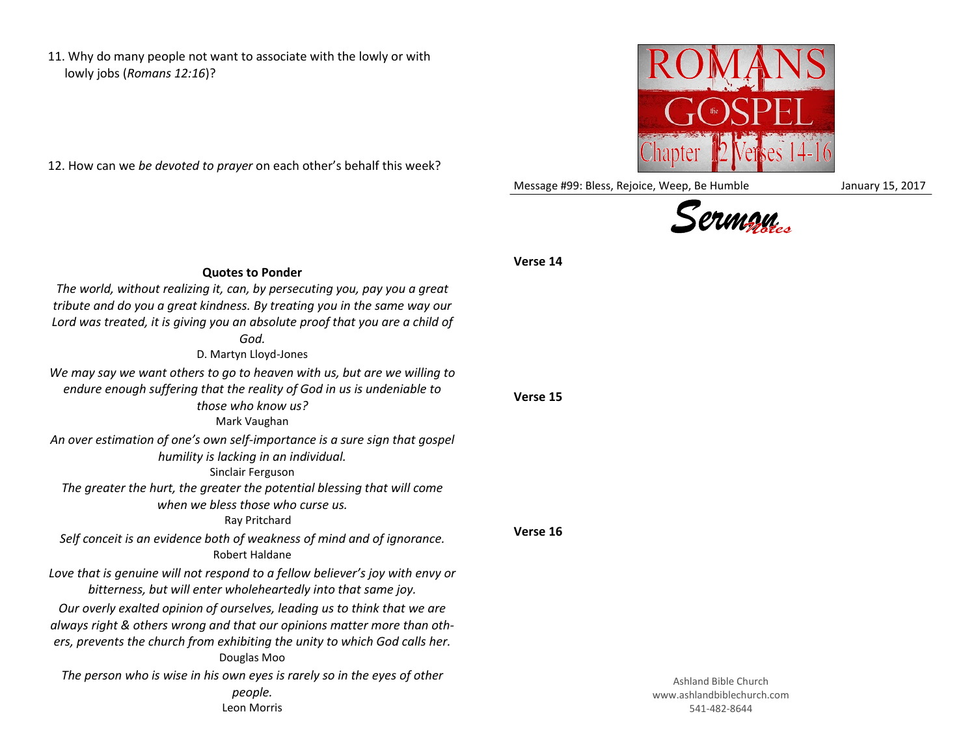11. Why do many people not want to associate with the lowly or with lowly jobs (*Romans 12:16*)?

12. How can we *be devoted to prayer* on each other's behalf this week?



Message #99: Bless, Rejoice, Weep, Be Humble January 15, 2017



## **Verse 15 Verse 16 Quotes to Ponder** *The world, without realizing it, can, by persecuting you, pay you a great tribute and do you a great kindness. By treating you in the same way our Lord was treated, it is giving you an absolute proof that you are a child of God.* D. Martyn Lloyd-Jones *We may say we want others to go to heaven with us, but are we willing to endure enough suffering that the reality of God in us is undeniable to those who know us?* Mark Vaughan *An over estimation of one's own self-importance is a sure sign that gospel humility is lacking in an individual.* Sinclair Ferguson *The greater the hurt, the greater the potential blessing that will come when we bless those who curse us.* Ray Pritchard *Self conceit is an evidence both of weakness of mind and of ignorance.* Robert Haldane *Love that is genuine will not respond to a fellow believer's joy with envy or bitterness, but will enter wholeheartedly into that same joy. Our overly exalted opinion of ourselves, leading us to think that we are always right & others wrong and that our opinions matter more than others, prevents the church from exhibiting the unity to which God calls her.* Douglas Moo *The person who is wise in his own eyes is rarely so in the eyes of other people.* Leon Morris

## **Verse 14**

Ashland Bible Church www.ashlandbiblechurch.com 541-482-8644